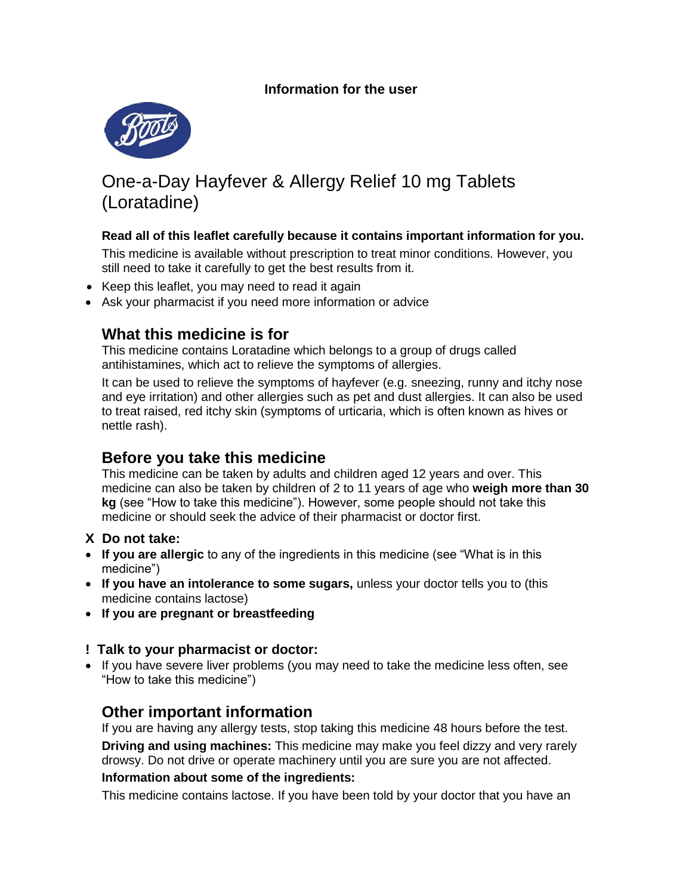

# One-a-Day Hayfever & Allergy Relief 10 mg Tablets (Loratadine)

#### **Read all of this leaflet carefully because it contains important information for you.**

This medicine is available without prescription to treat minor conditions. However, you still need to take it carefully to get the best results from it.

- Keep this leaflet, you may need to read it again
- Ask your pharmacist if you need more information or advice

## **What this medicine is for**

This medicine contains Loratadine which belongs to a group of drugs called antihistamines, which act to relieve the symptoms of allergies.

It can be used to relieve the symptoms of hayfever (e.g. sneezing, runny and itchy nose and eye irritation) and other allergies such as pet and dust allergies. It can also be used to treat raised, red itchy skin (symptoms of urticaria, which is often known as hives or nettle rash).

## **Before you take this medicine**

This medicine can be taken by adults and children aged 12 years and over. This medicine can also be taken by children of 2 to 11 years of age who **weigh more than 30 kg** (see "How to take this medicine"). However, some people should not take this medicine or should seek the advice of their pharmacist or doctor first.

#### **X Do not take:**

- **If you are allergic** to any of the ingredients in this medicine (see "What is in this medicine")
- **If you have an intolerance to some sugars,** unless your doctor tells you to (this medicine contains lactose)
- **If you are pregnant or breastfeeding**

#### **! Talk to your pharmacist or doctor:**

• If you have severe liver problems (you may need to take the medicine less often, see "How to take this medicine")

## **Other important information**

If you are having any allergy tests, stop taking this medicine 48 hours before the test. **Driving and using machines:** This medicine may make you feel dizzy and very rarely drowsy. Do not drive or operate machinery until you are sure you are not affected.

#### **Information about some of the ingredients:**

This medicine contains lactose. If you have been told by your doctor that you have an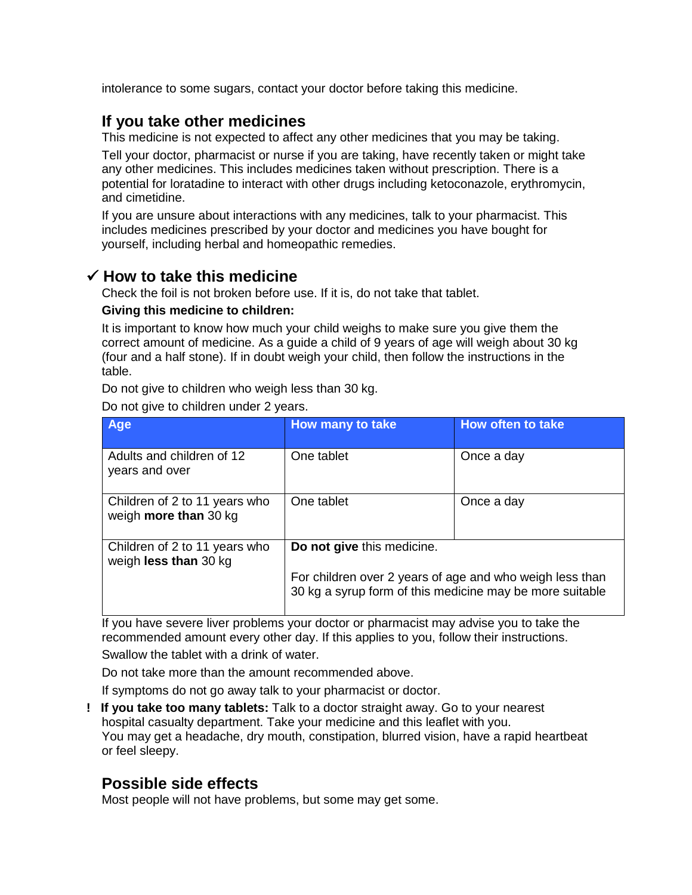intolerance to some sugars, contact your doctor before taking this medicine.

## **If you take other medicines**

This medicine is not expected to affect any other medicines that you may be taking.

Tell your doctor, pharmacist or nurse if you are taking, have recently taken or might take any other medicines. This includes medicines taken without prescription. There is a potential for loratadine to interact with other drugs including ketoconazole, erythromycin, and cimetidine.

If you are unsure about interactions with any medicines, talk to your pharmacist. This includes medicines prescribed by your doctor and medicines you have bought for yourself, including herbal and homeopathic remedies.

### **How to take this medicine**

Check the foil is not broken before use. If it is, do not take that tablet.

#### **Giving this medicine to children:**

It is important to know how much your child weighs to make sure you give them the correct amount of medicine. As a guide a child of 9 years of age will weigh about 30 kg (four and a half stone). If in doubt weigh your child, then follow the instructions in the table.

Do not give to children who weigh less than 30 kg.

Do not give to children under 2 years.

| <b>Age</b>                                             | How many to take                                                                                                                                   | <b>How often to take</b> |
|--------------------------------------------------------|----------------------------------------------------------------------------------------------------------------------------------------------------|--------------------------|
| Adults and children of 12<br>years and over            | One tablet                                                                                                                                         | Once a day               |
| Children of 2 to 11 years who<br>weigh more than 30 kg | One tablet                                                                                                                                         | Once a day               |
| Children of 2 to 11 years who<br>weigh less than 30 kg | Do not give this medicine.<br>For children over 2 years of age and who weigh less than<br>30 kg a syrup form of this medicine may be more suitable |                          |
|                                                        |                                                                                                                                                    |                          |

If you have severe liver problems your doctor or pharmacist may advise you to take the recommended amount every other day. If this applies to you, follow their instructions.

Swallow the tablet with a drink of water.

Do not take more than the amount recommended above.

If symptoms do not go away talk to your pharmacist or doctor.

**! If you take too many tablets:** Talk to a doctor straight away. Go to your nearest hospital casualty department. Take your medicine and this leaflet with you. You may get a headache, dry mouth, constipation, blurred vision, have a rapid heartbeat or feel sleepy.

## **Possible side effects**

Most people will not have problems, but some may get some.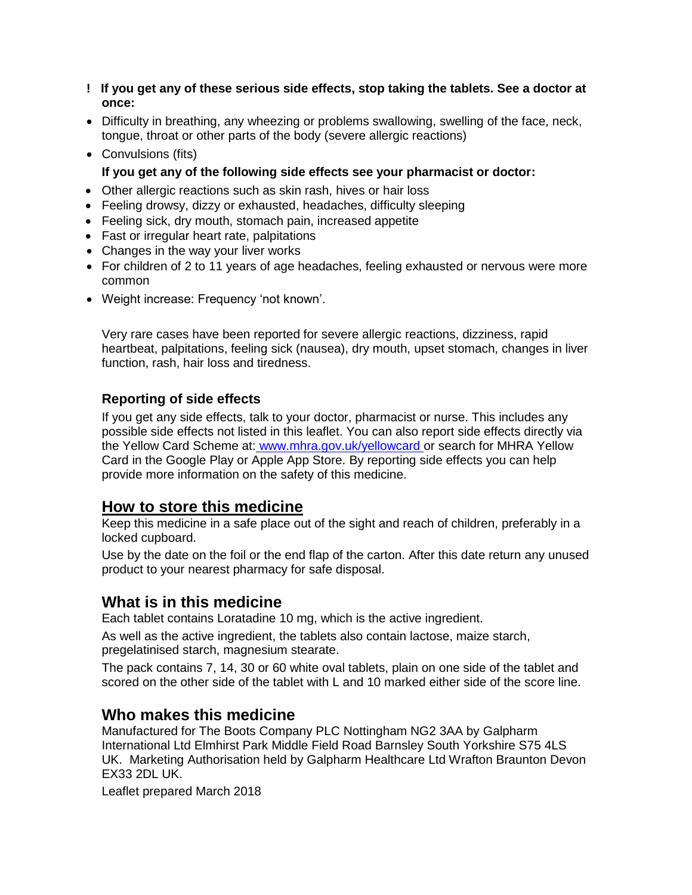- **! If you get any of these serious side effects, stop taking the tablets. See a doctor at once:**
- Difficulty in breathing, any wheezing or problems swallowing, swelling of the face, neck, tongue, throat or other parts of the body (severe allergic reactions)
- Convulsions (fits)

**If you get any of the following side effects see your pharmacist or doctor:**

- Other allergic reactions such as skin rash, hives or hair loss
- Feeling drowsy, dizzy or exhausted, headaches, difficulty sleeping
- Feeling sick, dry mouth, stomach pain, increased appetite
- Fast or irregular heart rate, palpitations
- Changes in the way your liver works
- For children of 2 to 11 years of age headaches, feeling exhausted or nervous were more common
- Weight increase: Frequency 'not known'.

Very rare cases have been reported for severe allergic reactions, dizziness, rapid heartbeat, palpitations, feeling sick (nausea), dry mouth, upset stomach, changes in liver function, rash, hair loss and tiredness.

### **Reporting of side effects**

If you get any side effects, talk to your doctor, pharmacist or nurse. This includes any possible side effects not listed in this leaflet. You can also report side effects directly via the Yellow Card Scheme at: [www.mhra.gov.uk/yellowcard](http://www.mhra.gov.uk/yellowcard) or search for MHRA Yellow Card in the Google Play or Apple App Store. By reporting side effects you can help provide more information on the safety of this medicine.

## **How to store this medicine**

Keep this medicine in a safe place out of the sight and reach of children, preferably in a locked cupboard.

Use by the date on the foil or the end flap of the carton. After this date return any unused product to your nearest pharmacy for safe disposal.

## **What is in this medicine**

Each tablet contains Loratadine 10 mg, which is the active ingredient.

As well as the active ingredient, the tablets also contain lactose, maize starch, pregelatinised starch, magnesium stearate.

The pack contains 7, 14, 30 or 60 white oval tablets, plain on one side of the tablet and scored on the other side of the tablet with L and 10 marked either side of the score line.

## **Who makes this medicine**

Manufactured for The Boots Company PLC Nottingham NG2 3AA by Galpharm International Ltd Elmhirst Park Middle Field Road Barnsley South Yorkshire S75 4LS UK. Marketing Authorisation held by Galpharm Healthcare Ltd Wrafton Braunton Devon EX33 2DL UK.

Leaflet prepared March 2018